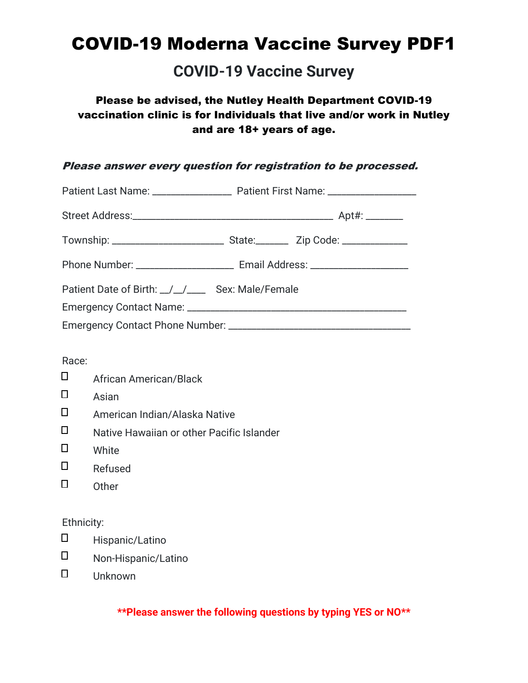### **COVID-19 Vaccine Survey**

### Please be advised, the Nutley Health Department COVID-19 vaccination clinic is for Individuals that live and/or work in Nutley and are 18+ years of age.

#### Please answer every question for registration to be processed.

| Patient Date of Birth: _/_/______ Sex: Male/Female |  |  |
|----------------------------------------------------|--|--|
|                                                    |  |  |
|                                                    |  |  |

- Race:
- African American/Black
- $\Box$  Asian
- $\Box$ American Indian/Alaska Native
- $\Box$ Native Hawaiian or other Pacific Islander
- $\Box$ **White**
- $\Box$ Refused
- $\Box$ **Other**

#### Ethnicity:

- $\Box$ Hispanic/Latino
- $\Box$ Non-Hispanic/Latino
- $\Box$ Unknown

**\*\*Please answer the following questions by typing YES or NO\*\***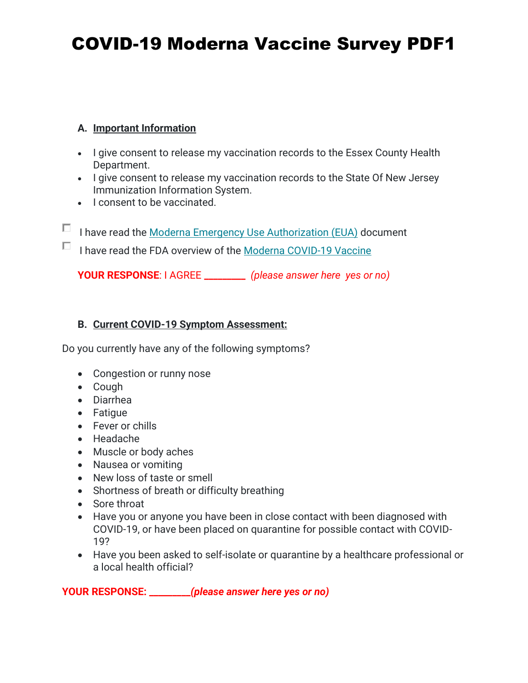#### **A. Important Information**

- I give consent to release my vaccination records to the Essex County Health Department.
- I give consent to release my vaccination records to the State Of New Jersey Immunization Information System.
- I consent to be vaccinated.
- $\Box$  I have read the [Moderna Emergency Use Authorization \(EUA\)](https://www.modernatx.com/covid19vaccine-eua/eua-fact-sheet-recipients.pdf) document
- I have read the FDA overview of the [Moderna COVID-19 Vaccine](https://www.fda.gov/emergency-preparedness-and-response/coronavirus-disease-2019-covid-19/moderna-covid-19-vaccine)

**YOUR RESPONSE**: I AGREE **\_\_\_\_\_\_\_\_\_** *(please answer here yes or no)*

#### **B. Current COVID-19 Symptom Assessment:**

Do you currently have any of the following symptoms?

- Congestion or runny nose
- Cough
- Diarrhea
- Fatigue
- Fever or chills
- Headache
- Muscle or body aches
- Nausea or vomiting
- New loss of taste or smell
- Shortness of breath or difficulty breathing
- Sore throat
- Have you or anyone you have been in close contact with been diagnosed with COVID-19, or have been placed on quarantine for possible contact with COVID-19?
- Have you been asked to self-isolate or quarantine by a healthcare professional or a local health official?

**YOUR RESPONSE: \_\_\_\_\_\_\_\_\_***(please answer here yes or no)*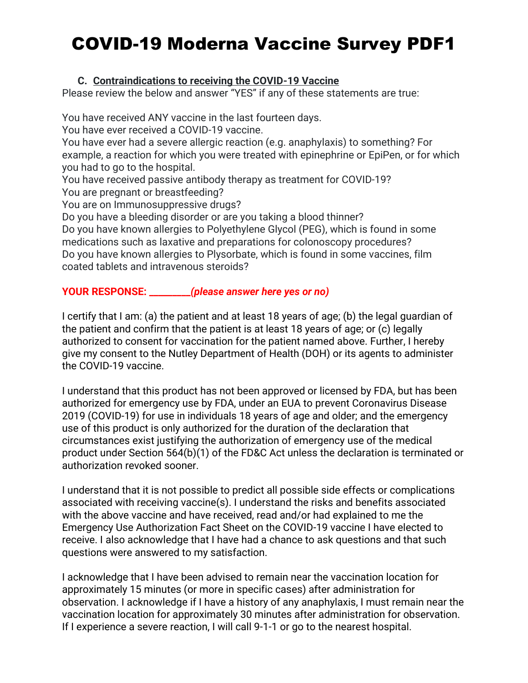#### **C. Contraindications to receiving the COVID-19 Vaccine**

Please review the below and answer "YES" if any of these statements are true:

You have received ANY vaccine in the last fourteen days.

You have ever received a COVID-19 vaccine.

You have ever had a severe allergic reaction (e.g. anaphylaxis) to something? For example, a reaction for which you were treated with epinephrine or EpiPen, or for which you had to go to the hospital.

You have received passive antibody therapy as treatment for COVID-19? You are pregnant or breastfeeding?

You are on Immunosuppressive drugs?

Do you have a bleeding disorder or are you taking a blood thinner?

Do you have known allergies to Polyethylene Glycol (PEG), which is found in some medications such as laxative and preparations for colonoscopy procedures? Do you have known allergies to Plysorbate, which is found in some vaccines, film coated tablets and intravenous steroids?

#### **YOUR RESPONSE: \_\_\_\_\_\_\_\_\_***(please answer here yes or no)*

I certify that I am: (a) the patient and at least 18 years of age; (b) the legal guardian of the patient and confirm that the patient is at least 18 years of age; or (c) legally authorized to consent for vaccination for the patient named above. Further, I hereby give my consent to the Nutley Department of Health (DOH) or its agents to administer the COVID-19 vaccine.

I understand that this product has not been approved or licensed by FDA, but has been authorized for emergency use by FDA, under an EUA to prevent Coronavirus Disease 2019 (COVID-19) for use in individuals 18 years of age and older; and the emergency use of this product is only authorized for the duration of the declaration that circumstances exist justifying the authorization of emergency use of the medical product under Section 564(b)(1) of the FD&C Act unless the declaration is terminated or authorization revoked sooner.

I understand that it is not possible to predict all possible side effects or complications associated with receiving vaccine(s). I understand the risks and benefits associated with the above vaccine and have received, read and/or had explained to me the Emergency Use Authorization Fact Sheet on the COVID-19 vaccine I have elected to receive. I also acknowledge that I have had a chance to ask questions and that such questions were answered to my satisfaction.

I acknowledge that I have been advised to remain near the vaccination location for approximately 15 minutes (or more in specific cases) after administration for observation. I acknowledge if I have a history of any anaphylaxis, I must remain near the vaccination location for approximately 30 minutes after administration for observation. If I experience a severe reaction, I will call 9-1-1 or go to the nearest hospital.